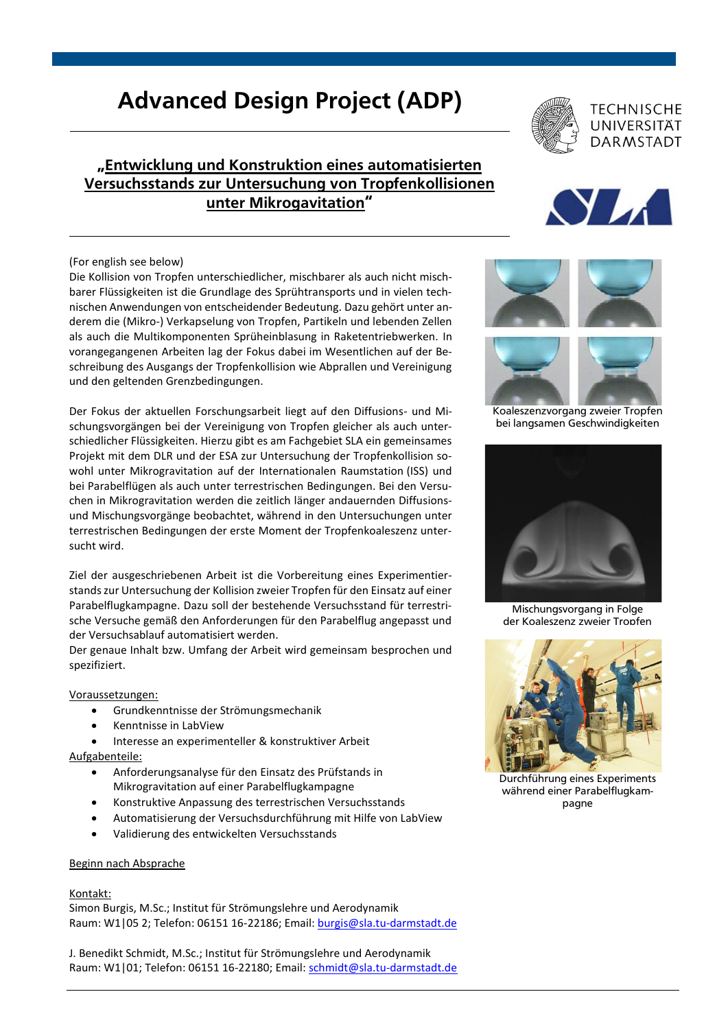# Advanced Design Project (ADP)

## "Entwicklung und Konstruktion eines automatisierten Versuchsstands zur Untersuchung von Tropfenkollisionen unter Mikrogavitation"

### (For english see below)

Die Kollision von Tropfen unterschiedlicher, mischbarer als auch nicht mischbarer Flüssigkeiten ist die Grundlage des Sprühtransports und in vielen technischen Anwendungen von entscheidender Bedeutung. Dazu gehört unter anderem die (Mikro-) Verkapselung von Tropfen, Partikeln und lebenden Zellen als auch die Multikomponenten Sprüheinblasung in Raketentriebwerken. In vorangegangenen Arbeiten lag der Fokus dabei im Wesentlichen auf der Beschreibung des Ausgangs der Tropfenkollision wie Abprallen und Vereinigung und den geltenden Grenzbedingungen.

Der Fokus der aktuellen Forschungsarbeit liegt auf den Diffusions- und Mischungsvorgängen bei der Vereinigung von Tropfen gleicher als auch unterschiedlicher Flüssigkeiten. Hierzu gibt es am Fachgebiet SLA ein gemeinsames Projekt mit dem DLR und der ESA zur Untersuchung der Tropfenkollision sowohl unter Mikrogravitation auf der Internationalen Raumstation (ISS) und bei Parabelflügen als auch unter terrestrischen Bedingungen. Bei den Versuchen in Mikrogravitation werden die zeitlich länger andauernden Diffusionsund Mischungsvorgänge beobachtet, während in den Untersuchungen unter terrestrischen Bedingungen der erste Moment der Tropfenkoaleszenz untersucht wird.

Ziel der ausgeschriebenen Arbeit ist die Vorbereitung eines Experimentierstands zur Untersuchung der Kollision zweier Tropfen für den Einsatz auf einer Parabelflugkampagne. Dazu soll der bestehende Versuchsstand für terrestrische Versuche gemäß den Anforderungen für den Parabelflug angepasst und der Versuchsablauf automatisiert werden.

Der genaue Inhalt bzw. Umfang der Arbeit wird gemeinsam besprochen und spezifiziert.

### Voraussetzungen:

- Grundkenntnisse der Strömungsmechanik
- Kenntnisse in LabView
- Interesse an experimenteller & konstruktiver Arbeit Aufgabenteile:
	- Anforderungsanalyse für den Einsatz des Prüfstands in Mikrogravitation auf einer Parabelflugkampagne
	- Konstruktive Anpassung des terrestrischen Versuchsstands
	- Automatisierung der Versuchsdurchführung mit Hilfe von LabView
	- Validierung des entwickelten Versuchsstands

### Beginn nach Absprache

### Kontakt:

Simon Burgis, M.Sc.; Institut für Strömungslehre und Aerodynamik Raum: W1|05 2; Telefon: 06151 16-22186; Email: [burgis@sla.tu-darmstadt.de](mailto:burgis@sla.tu-darmstadt.de)

J. Benedikt Schmidt, M.Sc.; Institut für Strömungslehre und Aerodynamik Raum: W1|01; Telefon: 06151 16-22180; Email[: schmidt@sla.tu-darmstadt.de](mailto:schmidt@sla.tu-darmstadt.de)







Koaleszenzvorgang zweier Tropfen bei langsamen Geschwindigkeiten



Mischungsvorgang in Folge der Koaleszenz zweier Tropfen



Durchführung eines Experiments während einer Parabelflugkampagne